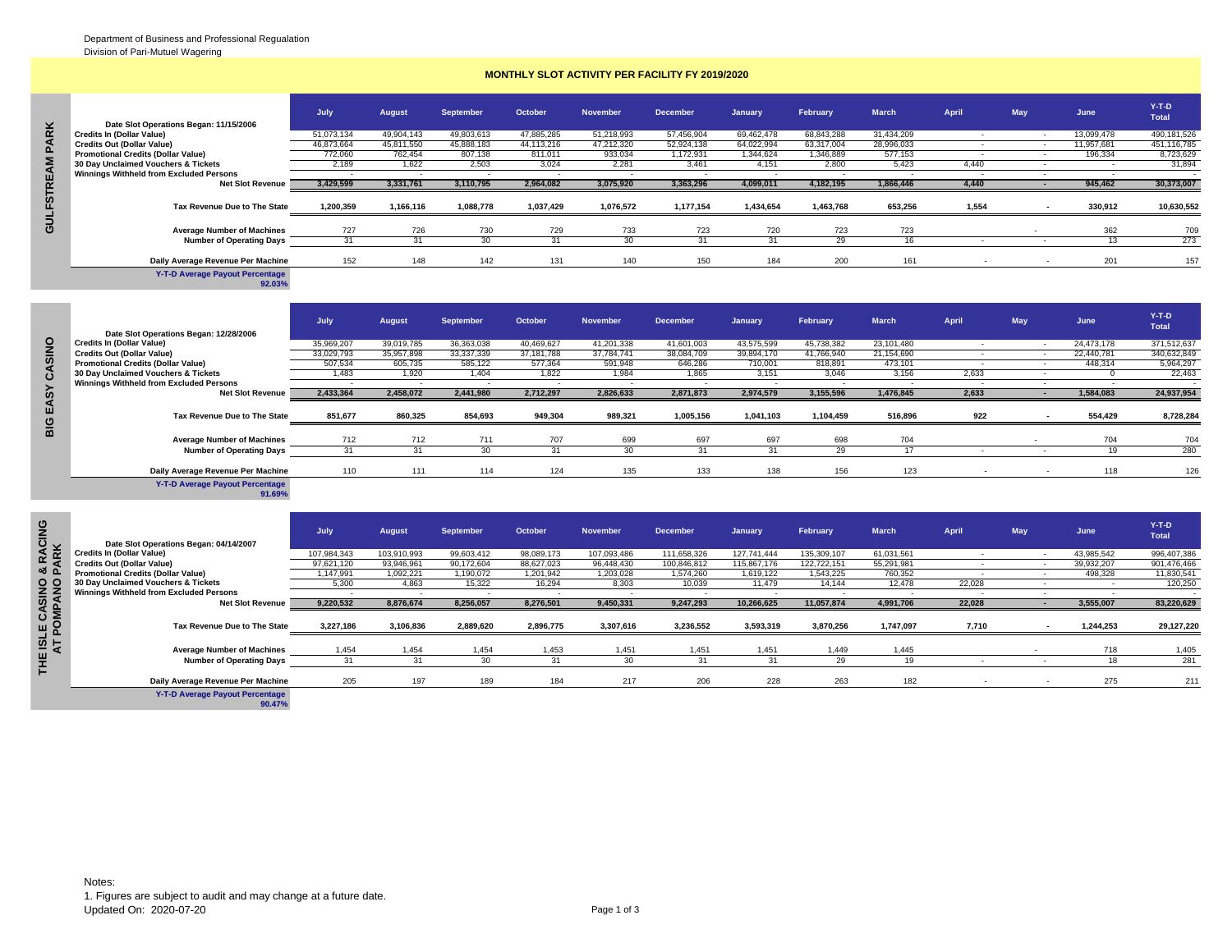## **MONTHLY SLOT ACTIVITY PER FACILITY FY 2019/2020**

| ×        | Date Slot Operations Began: 11/15/2006    | July       | <b>August</b> | <b>September</b> | October    | <b>November</b> | <b>December</b> | January    | February   | <b>March</b> | April | May | June       | $Y-T-D$<br>Total |
|----------|-------------------------------------------|------------|---------------|------------------|------------|-----------------|-----------------|------------|------------|--------------|-------|-----|------------|------------------|
| $\alpha$ | <b>Credits In (Dollar Value)</b>          | 51,073,134 | 49,904,143    | 49,803,613       | 47,885,285 | 51,218,993      | 57,456,904      | 69,462,478 | 68.843.288 | 31,434,209   |       |     | 13,099,478 | 490,181,526      |
|          | <b>Credits Out (Dollar Value)</b>         | 46,873,664 | 45,811,550    | 45,888,183       | 44,113,216 | 47,212,320      | 52,924,138      | 64,022,994 | 63,317,004 | 28,996,033   |       |     | 11,957,681 | 451,116,785      |
| Δ        | <b>Promotional Credits (Dollar Value)</b> | 772.060    | 762.454       | 807.138          | 811.011    | 933.034         | 1,172,931       | 1.344.624  | 1.346.889  | 577,153      |       |     | 196.334    | 8,723,629        |
|          | 30 Day Unclaimed Vouchers & Tickets       | 2.189      | 1.622         | 2,503            | 3,024      | 2.281           | 3.461           | 4,151      | 2.800      | 5.423        | 4.440 |     |            | 31,894           |
|          | Winnings Withheld from Excluded Persons   |            |               |                  |            |                 |                 |            |            |              |       |     |            |                  |
| 띭        | <b>Net Slot Revenue</b>                   | 3,429,599  | 3,331,761     | 3,110,795        | 2,964,082  | 3,075,920       | 3,363,296       | 4,099,011  | 4,182,195  | 1,866,446    | 4,440 |     | 945,462    | 30,373,007       |
| ESL      | Tax Revenue Due to The State              | 1,200,359  | 1.166.116     | 1,088,778        | 1,037,429  | 1,076,572       | 1,177,154       | 1,434,654  | 1,463,768  | 653,256      | 1,554 |     | 330,912    | 10,630,552       |
| mo       | <b>Average Number of Machines</b>         | 727        | 726           | 730              | 729        | 733             | 723             | 720        | 723        | 723          |       |     | 362        | 709              |
|          | <b>Number of Operating Days</b>           |            |               |                  |            |                 |                 |            | 29         |              |       |     |            | 273              |
|          | Daily Average Revenue Per Machine         | 152        | 148           | 142              | 131        | 140             | 150             | 184        | 200        | 161          |       |     | 201        | 157              |

|                   | Date Slot Operations Began: 11/15/2006                                     |             |               |                          |                          |                          |                 |                |                          |              |                          |            |                          |                            |
|-------------------|----------------------------------------------------------------------------|-------------|---------------|--------------------------|--------------------------|--------------------------|-----------------|----------------|--------------------------|--------------|--------------------------|------------|--------------------------|----------------------------|
| <b>PARK</b>       | <b>Credits In (Dollar Value)</b>                                           | 51,073,134  | 49,904,143    | 49.803.613               | 47.885.285               | 51.218.993               | 57.456.904      | 69.462.478     | 68.843.288               | 31.434.209   | $\sim$                   | $\sim$     | 13,099,478               | 490,181,526                |
|                   | <b>Credits Out (Dollar Value)</b>                                          | 46,873,664  | 45,811,550    | 45,888,183               | 44,113,216               | 47,212,320               | 52,924,138      | 64,022,994     | 63,317,004               | 28,996,033   | $\sim$                   | $\sim$     | 11,957,681               | 451,116,785                |
|                   | <b>Promotional Credits (Dollar Value)</b>                                  | 772,060     | 762,454       | 807,138                  | 811,011                  | 933,034                  | 1,172,931       | 1.344.624      | 1,346,889                | 577,153      | $\overline{\phantom{a}}$ | $\sim$     | 196,334                  | 8,723,629                  |
|                   | 30 Day Unclaimed Vouchers & Tickets                                        | 2,189       | 1,622         | 2,503                    | 3,024                    | 2,281                    | 3,461           | 4,151          | 2,800                    | 5,423        | 4,440                    | $\sim$     | $\overline{\phantom{a}}$ | 31,894                     |
|                   | Winnings Withheld from Excluded Persons                                    |             | ۰.            |                          | $\sim$                   |                          |                 | $\sim$         |                          |              | $\sim$                   | $\sim$     | $\sim$                   |                            |
|                   | <b>Net Slot Revenue</b>                                                    | 3,429,599   | 3,331,761     | 3,110,795                | 2,964,082                | 3,075,920                | 3,363,296       | 4,099,011      | 4,182,195                | 1,866,446    | 4,440                    | $\sim$     | 945,462                  | 30,373,007                 |
| <b>GULFSTREAM</b> | Tax Revenue Due to The State                                               | 1,200,359   | 1,166,116     | 1,088,778                | 1,037,429                | 1,076,572                | 1,177,154       | 1,434,654      | 1,463,768                | 653,256      | 1,554                    | $\sim$     | 330,912                  | 10,630,552                 |
|                   |                                                                            |             |               |                          |                          |                          |                 |                |                          |              |                          |            |                          |                            |
|                   | <b>Average Number of Machines</b>                                          | 727         | 726           | 730                      | 729                      | 733                      | 723             | 720            | 723                      | 723          |                          |            | 362                      | 709                        |
|                   | <b>Number of Operating Days</b>                                            | 31          | 31            | 30                       | 31                       | 30                       | $\overline{31}$ | 31             | 29                       | 16           |                          |            | 13                       | 273                        |
|                   | Daily Average Revenue Per Machine                                          | 152         | 148           | 142                      | 131                      | 140                      | 150             | 184            | 200                      | 161          |                          |            | 201                      | 157                        |
|                   | <b>Y-T-D Average Payout Percentage</b><br>92.03%                           |             |               |                          |                          |                          |                 |                |                          |              |                          |            |                          |                            |
|                   |                                                                            |             |               |                          |                          |                          |                 |                |                          |              |                          |            |                          |                            |
|                   |                                                                            | July        | <b>August</b> | <b>September</b>         | October                  | <b>November</b>          | <b>December</b> | January        | February                 | <b>March</b> | April                    | <b>May</b> | June                     | $Y-T-D$<br>Total           |
|                   | Date Slot Operations Began: 12/28/2006<br><b>Credits In (Dollar Value)</b> | 35,969,207  | 39,019,785    | 36,363,038               | 40,469,627               | 41,201,338               | 41,601,003      | 43,575,599     | 45,738,382               | 23,101,480   | $\sim$                   | $\sim$     | 24,473,178               | 371,512,637                |
|                   | <b>Credits Out (Dollar Value)</b>                                          | 33,029,793  | 35,957,898    | 33,337,339               | 37, 181, 788             | 37,784,741               | 38,084,709      | 39,894,170     | 41,766,940               | 21,154,690   | $\overline{\phantom{a}}$ | $\sim$     | 22,440,781               | 340,632,849                |
|                   | <b>Promotional Credits (Dollar Value)</b>                                  | 507,534     | 605,735       | 585,122                  | 577,364                  | 591,948                  | 646,286         | 710,001        | 818,891                  | 473,101      | $\sim$                   | $\sim$     | 448,314                  | 5,964,297                  |
| CASINO            | 30 Day Unclaimed Vouchers & Tickets                                        | 1.483       | 1,920         | 1.404                    | 1.822                    | 1,984                    | 1.865           | 3.151          | 3.046                    | 3,156        | 2,633                    | $\sim$     | $\mathbf{0}$             | 22,463                     |
|                   | Winnings Withheld from Excluded Persons                                    | $\sim$      | $\sim$        | . .                      | $\overline{\phantom{a}}$ |                          | ۰.              | $\sim$         | $\overline{\phantom{a}}$ | $\sim$       | $\sim$                   | $\sim$     | $\sim$                   |                            |
|                   |                                                                            |             |               | 2.441.980                | 2.712.297                | 2.826.633                | 2.871.873       | 2,974,579      | 3,155,596                | 1.476.845    | 2.633                    | $\sim$     | 1,584,083                | 24,937,954                 |
|                   | <b>Net Slot Revenue</b>                                                    | 2,433,364   | 2.458.072     |                          |                          |                          |                 |                |                          |              |                          |            |                          |                            |
| EASY              | Tax Revenue Due to The State                                               | 851,677     | 860,325       | 854,693                  | 949,304                  | 989,321                  | 1,005,156       | 1,041,103      | 1,104,459                | 516,896      | 922                      |            | 554,429                  | 8,728,284                  |
|                   |                                                                            |             |               |                          |                          |                          |                 |                |                          |              |                          |            |                          |                            |
| BIG               | <b>Average Number of Machines</b>                                          | 712         | 712           | 711                      | 707                      | 699                      | 697             | 697            | 698                      | 704          |                          |            | 704                      | 704                        |
|                   | <b>Number of Operating Days</b>                                            | 31          | 31            | 30                       | 31                       | 30                       | 31              | 31             | 29                       | 17           | $\overline{\phantom{a}}$ | $\sim$     | 19                       | 280                        |
|                   | Daily Average Revenue Per Machine                                          | 110         | 111           | 114                      | 124                      | 135                      | 133             | 138            | 156                      | 123          |                          |            | 118                      | 126                        |
|                   | <b>Y-T-D Average Payout Percentage</b><br>91.69%                           |             |               |                          |                          |                          |                 |                |                          |              |                          |            |                          |                            |
|                   |                                                                            |             |               |                          |                          |                          |                 |                |                          |              |                          |            |                          |                            |
|                   |                                                                            | July        | August        | <b>September</b>         | October                  | <b>November</b>          | <b>December</b> | <b>January</b> | <b>February</b>          | <b>March</b> | April                    | May        | June                     | $Y-T-D$<br>Total           |
|                   | Date Slot Operations Began: 04/14/2007<br><b>Credits In (Dollar Value)</b> | 107.984.343 | 103.910.993   | 99.603.412               | 98.089.173               | 107.093.486              | 111.658.326     | 127.741.444    | 135,309,107              | 61.031.561   | $\sim$                   | $\sim$     | 43.985.542               |                            |
| <b>ARK</b>        | <b>Credits Out (Dollar Value)</b>                                          | 97,621,120  | 93,946,961    | 90,172,604               | 88,627,023               | 96,448,430               | 100,846,812     | 115,867,176    | 122,722,151              | 55,291,981   | $\sim$                   | $\sim$     | 39,932,207               | 996,407,386<br>901,476,466 |
|                   | <b>Promotional Credits (Dollar Value)</b>                                  | 1,147,991   | 1,092,221     | 1,190,072                | 1,201,942                | 1,203,028                | 1,574,260       | 1,619,122      | 1,543,225                | 760,352      | $\overline{\phantom{a}}$ | $\sim$     | 498.328                  | 11,830,541                 |
|                   | 30 Day Unclaimed Vouchers & Tickets                                        | 5,300       | 4,863         | 15,322                   | 16,294                   | 8,303                    | 10,039          | 11,479         | 14,144                   | 12,478       | 22,028                   | $\sim$     | $\sim$                   | 120,250                    |
|                   | <b>Winnings Withheld from Excluded Persons</b>                             | $\sim$      | $\sim$        | $\overline{\phantom{a}}$ | $\sim$                   | $\overline{\phantom{a}}$ | $\sim$          | $\sim$         | $\sim$                   | $\sim$       | $\overline{\phantom{a}}$ | $\sim$     | $\sim$                   |                            |
|                   | <b>Net Slot Revenue</b>                                                    | 9,220,532   | 8,876,674     | 8,256,057                | 8,276,501                | 9,450,331                | 9,247,293       | 10,266,625     | 11,057,874               | 4,991,706    | 22,028                   | ÷.         | 3,555,007                | $\sim$<br>83,220,629       |
| OMPANO<br>ã.      | Tax Revenue Due to The State                                               | 3,227,186   | 3.106.836     | 2.889.620                | 2,896,775                | 3,307,616                | 3,236,552       | 3.593.319      | 3.870.256                | 1.747.097    | 7,710                    |            | 1,244,253                | 29,127,220                 |

| ඏ<br>Ž.                     |                                                | July.       | <b>August</b> | <b>September</b> | October    | <b>November</b> | <b>December</b> | January     | February    | <b>March</b> | April  | May | June       | $Y-T-D$<br><b>Total</b> |
|-----------------------------|------------------------------------------------|-------------|---------------|------------------|------------|-----------------|-----------------|-------------|-------------|--------------|--------|-----|------------|-------------------------|
|                             | Date Slot Operations Began: 04/14/2007         |             |               |                  |            |                 |                 |             |             |              |        |     |            |                         |
| <b>RACI</b><br>ARK          | <b>Credits In (Dollar Value)</b>               | 107,984,343 | 103,910,993   | 99,603,412       | 98,089,173 | 107,093,486     | 111,658,326     | 127.741.444 | 135,309,107 | 61,031,561   |        |     | 43,985,542 | 996,407,386             |
|                             | <b>Credits Out (Dollar Value)</b>              | 97,621,120  | 93,946,961    | 90,172,604       | 88.627.023 | 96,448,430      | 100,846,812     | 115,867,176 | 122.722.151 | 55,291,981   |        |     | 39,932,207 | 901,476,466             |
| ∞ உ                         | <b>Promotional Credits (Dollar Value)</b>      | 1,147,991   | 1,092,221     | 1,190,072        | 1,201,942  | 1,203,028       | 1,574,260       | 1,619,122   | 1,543,225   | 760,352      |        |     | 498,328    | 11,830,541              |
| $\circ$ $\circ$             | 30 Day Unclaimed Vouchers & Tickets            | 5.300       | 4,863         | 15.322           | 16,294     | 8,303           | 10,039          | 11,479      | 14.144      | 12,478       | 22,028 |     |            | 120,250                 |
|                             | <b>Winnings Withheld from Excluded Persons</b> |             |               |                  |            |                 |                 |             |             |              |        |     |            |                         |
|                             | <b>Net Slot Revenue</b>                        | 9,220,532   | 8,876,674     | 8,256,057        | 8,276,501  | 9,450,331       | 9,247,293       | 10,266,625  | 11,057,874  | 4,991,706    | 22,028 |     | 3,555,007  | 83,220,629              |
|                             |                                                |             |               |                  |            |                 |                 |             |             |              |        |     |            |                         |
|                             | Tax Revenue Due to The State                   | 3,227,186   | 3,106,836     | 2,889,620        | 2,896,775  | 3,307,616       | 3,236,552       | 3,593,319   | 3,870,256   | 1,747,097    | 7,710  |     | 1,244,253  | 29,127,220              |
| E ISLE CASINO<br>AT POMPANO | <b>Average Number of Machines</b>              | 1.454       | 1.454         | 1,454            | 1,453      | 1.451           | 1,451           | 1.451       | 1.449       | 1,445        |        |     | 718        | 1,405                   |
| ٣Ě                          | <b>Number of Operating Days</b>                |             | 31            | 30               | 31         | 30              | 31              | 31          | 29          | 19           |        |     |            | 281                     |
|                             | Daily Average Revenue Per Machine              | 205         | 197           | 189              | 184        | 217             | 206             | 228         | 263         | 182          |        |     | 275        | 211                     |
|                             | Y-T-D Average Payout Percentage<br>90.47%      |             |               |                  |            |                 |                 |             |             |              |        |     |            |                         |
|                             |                                                |             |               |                  |            |                 |                 |             |             |              |        |     |            |                         |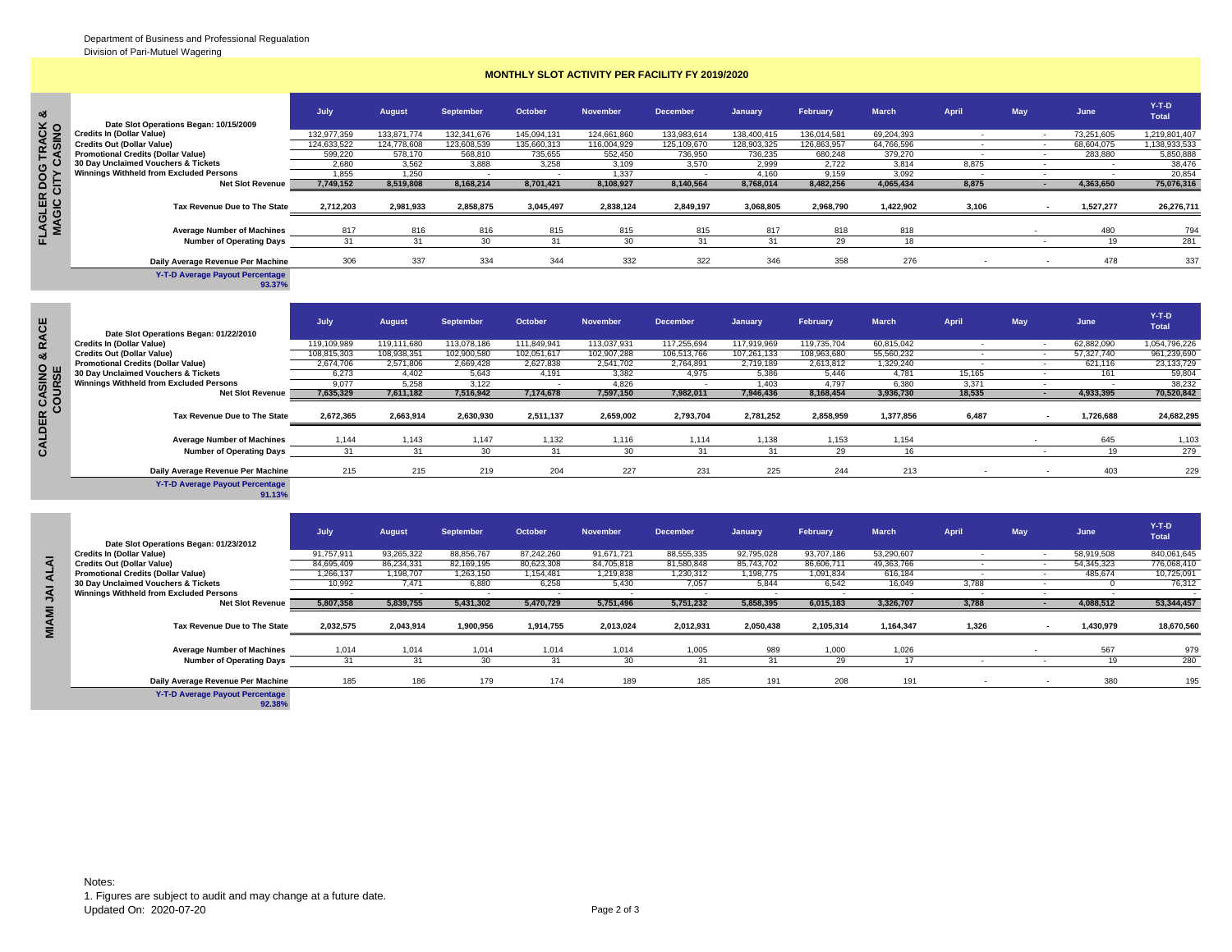## **MONTHLY SLOT ACTIVITY PER FACILITY FY 2019/2020**

| ∞ರ                                 |                                                | July.       | <b>August</b> | <b>September</b> | October     | <b>November</b> | <b>December</b> | January     | February    | <b>March</b> | April | May | June       | $Y-T-D$<br><b>Total</b> |
|------------------------------------|------------------------------------------------|-------------|---------------|------------------|-------------|-----------------|-----------------|-------------|-------------|--------------|-------|-----|------------|-------------------------|
|                                    | Date Slot Operations Began: 10/15/2009         |             |               |                  |             |                 |                 |             |             |              |       |     |            |                         |
|                                    | <b>Credits In (Dollar Value)</b>               | 132,977,359 | 133,871,774   | 132,341,676      | 145,094,131 | 124,661,860     | 133,983,614     | 138,400,415 | 136,014,581 | 69,204,393   |       |     | 73,251,605 | 1,219,801,407           |
|                                    | <b>Credits Out (Dollar Value)</b>              | 124,633,522 | 124,778,608   | 123,608,539      | 135,660,313 | 116,004,929     | 125,109,670     | 128,903,325 | 126,863,957 | 64,766,596   |       |     | 68,604,075 | 1,138,933,533           |
| TRACK<br>"ASINO                    | <b>Promotional Credits (Dollar Value)</b>      | 599,220     | 578,170       | 568,810          | 735,655     | 552,450         | 736,950         | 736,235     | 680,248     | 379,270      |       |     | 283,880    | 5,850,888               |
|                                    | 30 Day Unclaimed Vouchers & Tickets            | 2.680       | 3,562         | 3,888            | 3.258       | 3,109           | 3,570           | 2.999       | 2.722       | 3,814        | 8,875 |     |            | 38,476                  |
|                                    | <b>Winnings Withheld from Excluded Persons</b> | 1.855       | 1,250         |                  |             | 1,337           |                 | 4,160       | 9,159       | 3,092        |       |     |            | 20,854                  |
|                                    | <b>Net Slot Revenue</b>                        | 7,749,152   | 8,519,808     | 8,168,214        | 8,701,421   | 8,108,927       | 8,140,564       | 8,768,014   | 8,482,256   | 4,065,434    | 8,875 |     | 4,363,650  | 75,076,316              |
| <b>FLAGLER DOG</b><br>MAGIC CITY C | Tax Revenue Due to The State                   | 2,712,203   | 2,981,933     | 2,858,875        | 3,045,497   | 2,838,124       | 2,849,197       | 3,068,805   | 2,968,790   | 1,422,902    | 3,106 |     | 1,527,277  | 26,276,711              |
|                                    | <b>Average Number of Machines</b>              | 817         | 816           | 816              | 815         | 815             | 815             | 817         | 818         | 818          |       |     | 480        | 794                     |
|                                    | <b>Number of Operating Days</b>                |             | 31            |                  |             |                 |                 |             | 29          |              |       |     |            | 281                     |
|                                    | Daily Average Revenue Per Machine              | 306         | 337           | 334              | 344         | 332             | 322             | 346         | 358         | 276          |       |     | 478        | 337                     |

**Y-T-D Average Payout Percentage 93.37%**

|              | Date Slot Operations Began: 01/22/2010                                | July                    | <b>August</b>            | <b>September</b>         | October                  | <b>November</b>          | <b>December</b>          | January                  | February                 | <b>March</b>             | April                    | May                      | June                     | $Y-T-D$<br><b>Total</b>    |
|--------------|-----------------------------------------------------------------------|-------------------------|--------------------------|--------------------------|--------------------------|--------------------------|--------------------------|--------------------------|--------------------------|--------------------------|--------------------------|--------------------------|--------------------------|----------------------------|
|              | <b>Credits In (Dollar Value)</b>                                      | 119,109,989             | 119,111,680              | 113,078,186              | 111,849,941              | 113,037,931              | 117,255,694              | 117,919,969              | 119,735,704              | 60,815,042               | $\sim$                   |                          | 62,882,090               | 1,054,796,226              |
|              | <b>Credits Out (Dollar Value)</b>                                     | 108,815,303             | 108,938,351              | 102.900.580              | 102.051.617              | 102.907.288              | 106,513,766              | 107,261,133              | 108.963.680              | 55,560,232               |                          |                          | 57,327,740               | 961.239.690                |
|              | <b>Promotional Credits (Dollar Value)</b>                             | 2,674,706               | 2,571,806                | 2,669,428                | 2,627,838                | 2,541,702                | 2,764,891                | 2,719,189                | 2,613,812                | 1,329,240                |                          | $\overline{\phantom{a}}$ | 621,116                  | 23, 133, 729               |
| żω           | 30 Day Unclaimed Vouchers & Tickets                                   | 6.273                   | 4,402                    | 5,643                    | 4,191                    | 3,382                    | 4,975                    | 5,386                    | 5.446                    | 4,781                    | 15,165                   | $\sim$                   | 161                      | 59,804                     |
|              | <b>Winnings Withheld from Excluded Persons</b>                        | 9.077                   | 5.258                    | 3.122                    | $\overline{\phantom{a}}$ | 4.826                    |                          | 1.403                    | 4.797                    | 6.380                    | 3,371                    |                          |                          | 38,232                     |
| <b>OUR</b>   | <b>Net Slot Revenue</b>                                               | 7,635,329               | 7,611,182                | 7,516,942                | 7,174,678                | 7,597,150                | 7,982,011                | 7,946,436                | 8,168,454                | 3,936,730                | 18,535                   |                          | 4,933,395                | 70,520,842                 |
| $\mathbf c$  | Tax Revenue Due to The State                                          | 2,672,365               | 2,663,914                | 2,630,930                | 2,511,137                | 2,659,002                | 2,793,704                | 2,781,252                | 2,858,959                | 1,377,856                | 6,487                    |                          | 1,726,688                | 24,682,295                 |
|              | <b>Average Number of Machines</b>                                     | 1.144                   | 1,143                    | 1,147                    | 1,132                    | 1,116                    | 1,114                    | 1,138                    | 1,153                    | 1,154                    |                          |                          | 645                      | 1,103                      |
|              | <b>Number of Operating Days</b>                                       | 31                      | 31                       | 30                       | 31                       | 30                       | 31                       | 31                       | 29                       | 16                       |                          | $\sim$                   | 19                       | 279                        |
|              | Daily Average Revenue Per Machine                                     | 215                     | 215                      | 219                      | 204                      | 227                      | 231                      | 225                      | 244                      | 213                      |                          |                          | 403                      | 229                        |
|              | Y-T-D Average Payout Percentage<br>91.13%                             |                         |                          |                          |                          |                          |                          |                          |                          |                          |                          |                          |                          |                            |
|              |                                                                       | July                    | <b>August</b>            | <b>September</b>         | October                  | <b>November</b>          | <b>December</b>          | January                  | February                 | <b>March</b>             | April                    | May                      | June                     | $Y-T-D$<br><b>Total</b>    |
|              | Date Slot Operations Began: 01/23/2012                                |                         |                          |                          |                          |                          |                          |                          |                          |                          |                          |                          |                          |                            |
| ৰ            | <b>Credits In (Dollar Value)</b><br><b>Credits Out (Dollar Value)</b> | 91,757,911              | 93,265,322<br>86,234,331 | 88,856,767<br>82,169,195 | 87,242,260<br>80,623,308 | 91,671,721<br>84,705,818 | 88,555,335<br>81,580,848 | 92,795,028<br>85,743,702 | 93,707,186<br>86,606,711 | 53,290,607<br>49,363,766 | $\overline{\phantom{a}}$ |                          | 58,919,508<br>54,345,323 | 840,061,645<br>776,068,410 |
|              | <b>Promotional Credits (Dollar Value)</b>                             | 84,695,409<br>1.266.137 | 1,198,707                | 1,263,150                | 1,154,481                | 1,219,838                | 1,230,312                | 1,198,775                | 1.091.834                | 616,184                  |                          | $\sim$                   | 485,674                  | 10,725,091                 |
| ₹            | 30 Day Unclaimed Vouchers & Tickets                                   | 10,992                  | 7.471                    | 6,880                    | 6,258                    | 5,430                    | 7,057                    | 5,844                    | 6,542                    | 16,049                   | 3,788                    | $\sim$                   |                          | 76,312                     |
|              | Winnings Withheld from Excluded Persons                               |                         |                          |                          |                          |                          |                          |                          |                          |                          |                          |                          |                          |                            |
| ₹            | <b>Net Slot Revenue</b>                                               | 5,807,358               | 5,839,755                | 5,431,302                | 5,470,729                | 5,751,496                | 5,751,232                | 5,858,395                | 6,015,183                | 3,326,707                | 3,788                    |                          | 4,088,512                | 53,344,457                 |
| <b>MIAMI</b> | Tax Revenue Due to The State                                          | 2,032,575               | 2,043,914                | 1,900,956                | 1,914,755                | 2,013,024                | 2,012,931                | 2,050,438                | 2,105,314                | 1,164,347                | 1,326                    | $\blacksquare$           | 1,430,979                | 18,670,560                 |

|              |                                           | July       | <b>August</b> | <b>September</b> | October    | <b>November</b> | <b>December</b> | January    | February   | <b>March</b> | <b>April</b> | May | June       | $Y-T-D$<br><b>Total</b> |
|--------------|-------------------------------------------|------------|---------------|------------------|------------|-----------------|-----------------|------------|------------|--------------|--------------|-----|------------|-------------------------|
|              | Date Slot Operations Began: 01/23/2012    |            |               |                  |            |                 |                 |            |            |              |              |     |            |                         |
|              | <b>Credits In (Dollar Value)</b>          | 91,757,911 | 93,265,322    | 88,856,767       | 87.242.260 | 91,671,721      | 88,555,335      | 92,795,028 | 93,707,186 | 53,290,607   |              |     | 58,919,508 | 840,061,645             |
|              | <b>Credits Out (Dollar Value)</b>         | 84,695,409 | 86.234.331    | 82,169,195       | 80,623,308 | 84,705,818      | 81,580,848      | 85,743,702 | 86,606,711 | 49,363,766   |              |     | 54,345,323 | 776,068,410             |
|              | <b>Promotional Credits (Dollar Value)</b> | 1,266,137  | ,198,707      | 1,263,150        | 1,154,481  | 1,219,838       | 1,230,312       | 1,198,775  | 1,091,834  | 616,184      |              |     | 485,674    | 10,725,091              |
|              | 30 Day Unclaimed Vouchers & Tickets       | 10.992     | 7.471         | 6,880            | 6.258      | 5.430           | 7,057           | 5.844      | 6.542      | 16,049       | 3.788        |     |            | 76,312                  |
| ₹            | Winnings Withheld from Excluded Persons   |            |               |                  |            |                 |                 |            |            |              |              |     |            |                         |
|              | <b>Net Slot Revenue</b>                   | 5,807,358  | 5,839,755     | 5,431,302        | 5,470,729  | 5,751,496       | 5,751,232       | 5,858,395  | 6,015,183  | 3,326,707    | 3,788        |     | 4,088,512  | 53,344,457              |
| <b>MIAMI</b> | Tax Revenue Due to The State              | 2,032,575  | 2,043,914     | 1,900,956        | 1,914,755  | 2,013,024       | 2,012,931       | 2,050,438  | 2,105,314  | 1,164,347    | 1,326        |     | 1,430,979  | 18,670,560              |
|              | <b>Average Number of Machines</b>         | 1.014      | 1.014         | 1,014            | 1.014      | 1.014           | 1.005           | 989        | 1.000      | 1.026        |              |     | 567        | 979                     |
|              | <b>Number of Operating Days</b>           | 31         | 31            | 30               |            | 30              |                 |            | 29         |              |              |     |            | 280                     |
|              | Daily Average Revenue Per Machine         | 185        | 186           | 179              | 174        | 189             | 185             | 191        | 208        | 191          |              |     | 380        | 195                     |
|              | <b>Y-T-D Average Payout Percentage</b>    |            |               |                  |            |                 |                 |            |            |              |              |     |            |                         |

**92.38%**